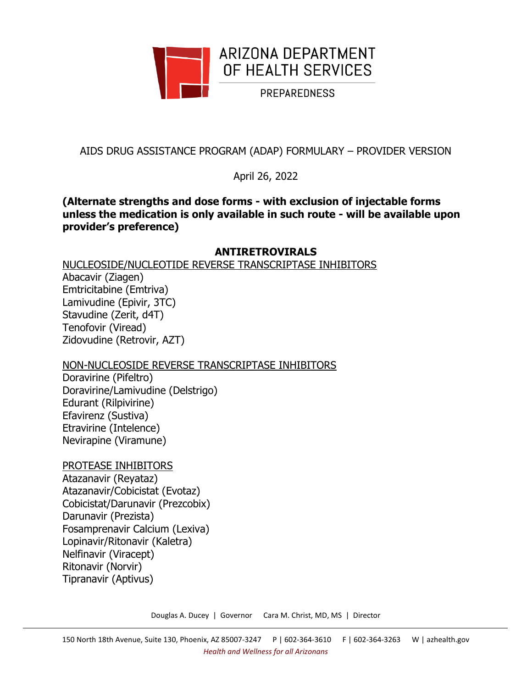

AIDS DRUG ASSISTANCE PROGRAM (ADAP) FORMULARY – PROVIDER VERSION

April 26, 2022

# **(Alternate strengths and dose forms - with exclusion of injectable forms unless the medication is only available in such route - will be available upon provider's preference)**

# **ANTIRETROVIRALS**

NUCLEOSIDE/NUCLEOTIDE REVERSE TRANSCRIPTASE INHIBITORS

Abacavir (Ziagen) Emtricitabine (Emtriva) Lamivudine (Epivir, 3TC) Stavudine (Zerit, d4T) Tenofovir (Viread) Zidovudine (Retrovir, AZT)

# NON-NUCLEOSIDE REVERSE TRANSCRIPTASE INHIBITORS

Doravirine (Pifeltro) Doravirine/Lamivudine (Delstrigo) Edurant (Rilpivirine) Efavirenz (Sustiva) Etravirine (Intelence) Nevirapine (Viramune)

PROTEASE INHIBITORS Atazanavir (Reyataz) Atazanavir/Cobicistat (Evotaz) Cobicistat/Darunavir (Prezcobix)

Darunavir (Prezista) Fosamprenavir Calcium (Lexiva) Lopinavir/Ritonavir (Kaletra) Nelfinavir (Viracept) Ritonavir (Norvir) Tipranavir (Aptivus)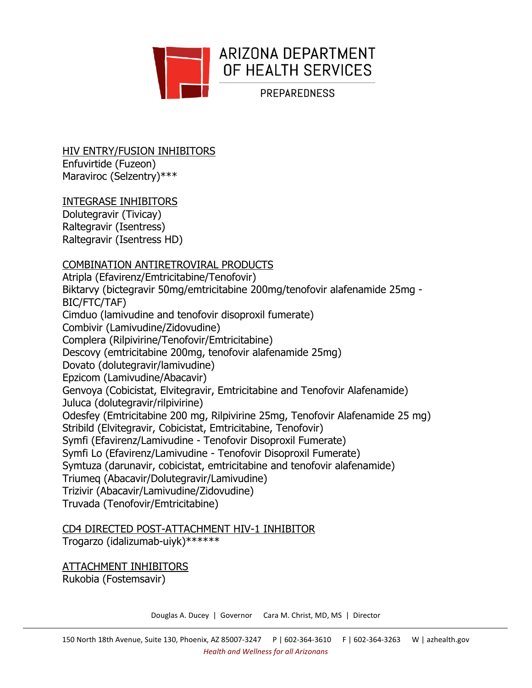

HIV ENTRY/FUSION INHIBITORS Enfuvirtide (Fuzeon) Maraviroc (Selzentry)\*\*\*

### INTEGRASE INHIBITORS

Dolutegravir (Tivicay) Raltegravir (Isentress) Raltegravir (Isentress HD)

# COMBINATION ANTIRETROVIRAL PRODUCTS

Atripla (Efavirenz/Emtricitabine/Tenofovir) Biktarvy (bictegravir 50mg/emtricitabine 200mg/tenofovir alafenamide 25mg - BIC/FTC/TAF) Cimduo (lamivudine and tenofovir disoproxil fumerate) Combivir (Lamivudine/Zidovudine) Complera (Rilpivirine/Tenofovir/Emtricitabine) Descovy (emtricitabine 200mg, tenofovir alafenamide 25mg) Dovato (dolutegravir/lamivudine) Epzicom (Lamivudine/Abacavir) Genvoya (Cobicistat, Elvitegravir, Emtricitabine and Tenofovir Alafenamide) Juluca (dolutegravir/rilpivirine) Odesfey (Emtricitabine 200 mg, Rilpivirine 25mg, Tenofovir Alafenamide 25 mg) Stribild (Elvitegravir, Cobicistat, Emtricitabine, Tenofovir) Symfi (Efavirenz/Lamivudine - Tenofovir Disoproxil Fumerate) Symfi Lo (Efavirenz/Lamivudine - Tenofovir Disoproxil Fumerate) Symtuza (darunavir, cobicistat, emtricitabine and tenofovir alafenamide) Triumeq (Abacavir/Dolutegravir/Lamivudine) Trizivir (Abacavir/Lamivudine/Zidovudine) Truvada (Tenofovir/Emtricitabine)

# CD4 DIRECTED POST-ATTACHMENT HIV-1 INHIBITOR

Trogarzo (idalizumab-uiyk)\*\*\*\*\*\*

ATTACHMENT INHIBITORS Rukobia (Fostemsavir)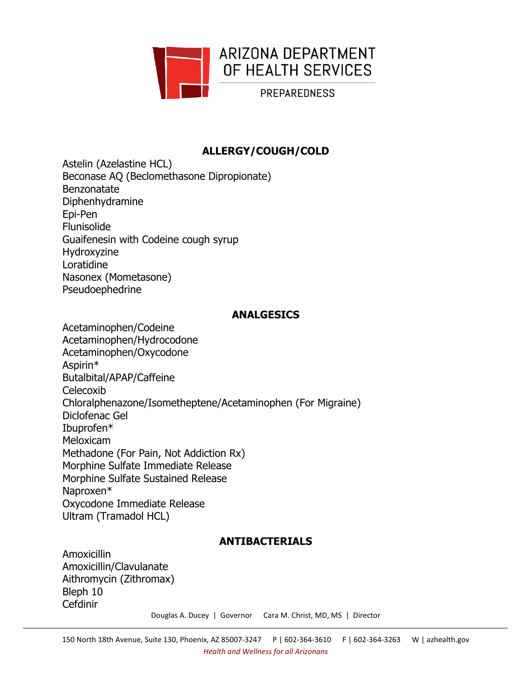

# **ALLERGY/COUGH/COLD**

Astelin (Azelastine HCL) Beconase AQ (Beclomethasone Dipropionate) Benzonatate Diphenhydramine Epi-Pen Flunisolide Guaifenesin with Codeine cough syrup Hydroxyzine Loratidine Nasonex (Mometasone) Pseudoephedrine

### **ANALGESICS**

Acetaminophen/Codeine Acetaminophen/Hydrocodone Acetaminophen/Oxycodone Aspirin\* Butalbital/APAP/Caffeine Celecoxib Chloralphenazone/Isometheptene/Acetaminophen (For Migraine) Diclofenac Gel Ibuprofen\* Meloxicam Methadone (For Pain, Not Addiction Rx) Morphine Sulfate Immediate Release Morphine Sulfate Sustained Release Naproxen\* Oxycodone Immediate Release Ultram (Tramadol HCL)

# **ANTIBACTERIALS**

Amoxicillin Amoxicillin/Clavulanate Aithromycin (Zithromax) Bleph 10 Cefdinir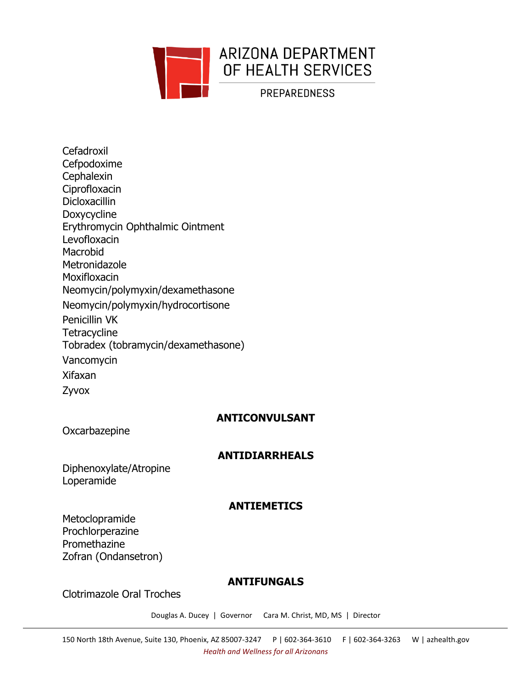

**Cefadroxil** Cefpodoxime **Cephalexin** Ciprofloxacin Dicloxacillin Doxycycline Erythromycin Ophthalmic Ointment Levofloxacin Macrobid **Metronidazole Moxifloxacin** Neomycin/polymyxin/dexamethasone Neomycin/polymyxin/hydrocortisone Penicillin VK **Tetracycline** Tobradex (tobramycin/dexamethasone) Vancomycin Xifaxan Zyvox

# **ANTICONVULSANT**

**Oxcarbazepine** 

# **ANTIDIARRHEALS**

Diphenoxylate/Atropine Loperamide

### **ANTIEMETICS**

Metoclopramide Prochlorperazine Promethazine Zofran (Ondansetron)

### **ANTIFUNGALS**

Clotrimazole Oral Troches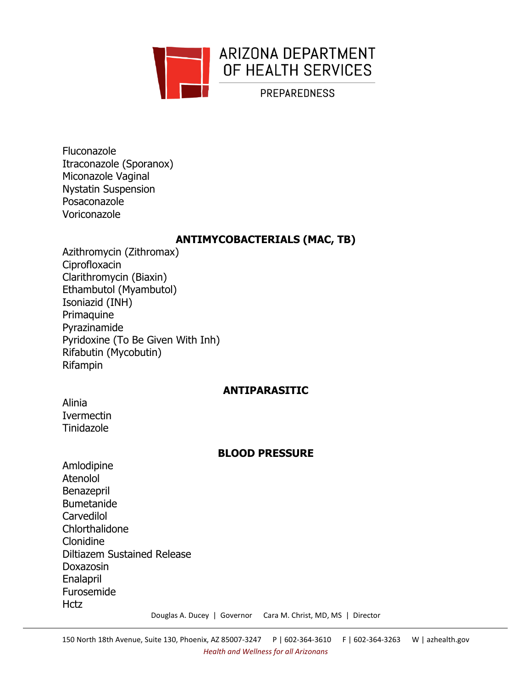

Fluconazole Itraconazole (Sporanox) Miconazole Vaginal Nystatin Suspension Posaconazole Voriconazole

### **ANTIMYCOBACTERIALS (MAC, TB)**

Azithromycin (Zithromax) Ciprofloxacin Clarithromycin (Biaxin) Ethambutol (Myambutol) Isoniazid (INH) Primaquine Pyrazinamide Pyridoxine (To Be Given With Inh) Rifabutin (Mycobutin) Rifampin

### **ANTIPARASITIC**

Alinia Ivermectin Tinidazole

### **BLOOD PRESSURE**

Amlodipine Atenolol Benazepril Bumetanide Carvedilol Chlorthalidone Clonidine Diltiazem Sustained Release Doxazosin Enalapril Furosemide **Hctz**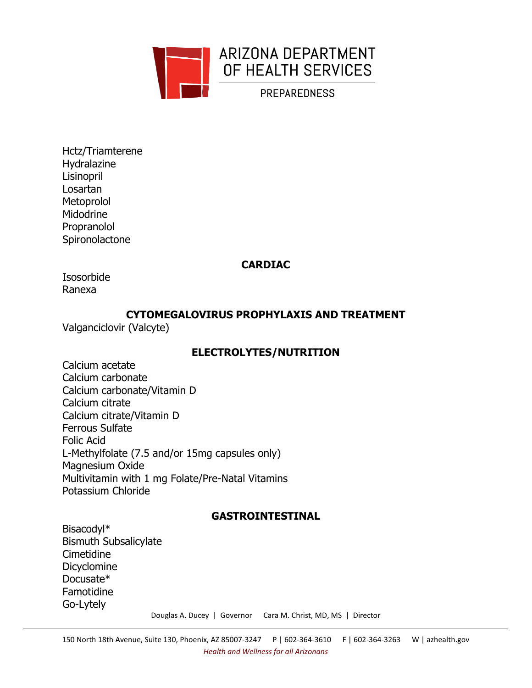

Hctz/Triamterene Hydralazine Lisinopril Losartan **Metoprolol** Midodrine Propranolol **Spironolactone** 

# **CARDIAC**

Isosorbide Ranexa

# **CYTOMEGALOVIRUS PROPHYLAXIS AND TREATMENT**

Valganciclovir (Valcyte)

# **ELECTROLYTES/NUTRITION**

Calcium acetate Calcium carbonate Calcium carbonate/Vitamin D Calcium citrate Calcium citrate/Vitamin D Ferrous Sulfate Folic Acid L-Methylfolate (7.5 and/or 15mg capsules only) Magnesium Oxide Multivitamin with 1 mg Folate/Pre-Natal Vitamins Potassium Chloride

# **GASTROINTESTINAL**

Bisacodyl\* Bismuth Subsalicylate **Cimetidine** Dicyclomine Docusate\* Famotidine Go-Lytely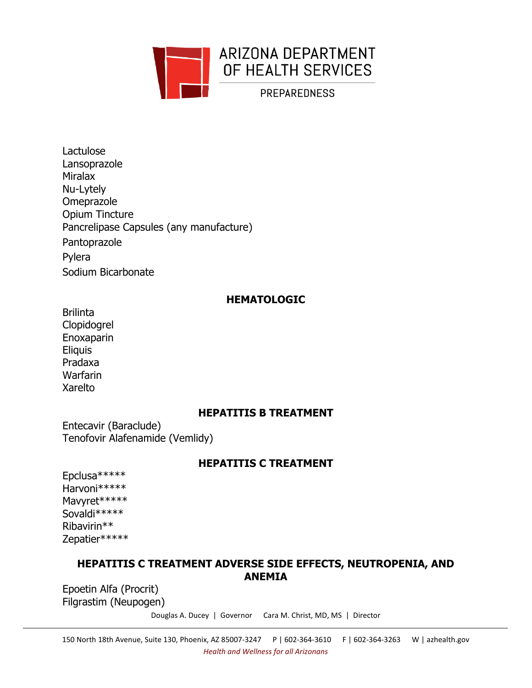

Lactulose Lansoprazole Miralax Nu-Lytely Omeprazole Opium Tincture Pancrelipase Capsules (any manufacture) Pantoprazole Pylera Sodium Bicarbonate

### **HEMATOLOGIC**

**Brilinta** Clopidogrel Enoxaparin **Eliquis** Pradaxa Warfarin Xarelto

### **HEPATITIS B TREATMENT**

Entecavir (Baraclude) Tenofovir Alafenamide (Vemlidy)

### **HEPATITIS C TREATMENT**

Epclusa\*\*\*\*\* Harvoni\*\*\*\*\* Mavyret\*\*\*\*\* Sovaldi\*\*\*\*\* Ribavirin\*\* Zepatier\*\*\*\*\*

# **HEPATITIS C TREATMENT ADVERSE SIDE EFFECTS, NEUTROPENIA, AND ANEMIA**

Epoetin Alfa (Procrit) Filgrastim (Neupogen)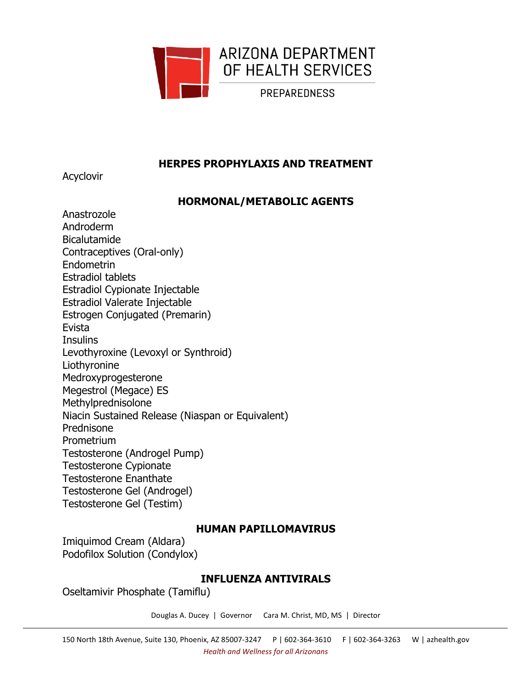

# **HERPES PROPHYLAXIS AND TREATMENT**

Acyclovir

# **HORMONAL/METABOLIC AGENTS**

Anastrozole Androderm Bicalutamide Contraceptives (Oral-only) Endometrin Estradiol tablets Estradiol Cypionate Injectable Estradiol Valerate Injectable Estrogen Conjugated (Premarin) Evista **Insulins** Levothyroxine (Levoxyl or Synthroid) Liothyronine Medroxyprogesterone Megestrol (Megace) ES Methylprednisolone Niacin Sustained Release (Niaspan or Equivalent) Prednisone Prometrium Testosterone (Androgel Pump) Testosterone Cypionate Testosterone Enanthate Testosterone Gel (Androgel) Testosterone Gel (Testim)

# **HUMAN PAPILLOMAVIRUS**

Imiquimod Cream (Aldara) Podofilox Solution (Condylox)

# **INFLUENZA ANTIVIRALS**

Oseltamivir Phosphate (Tamiflu)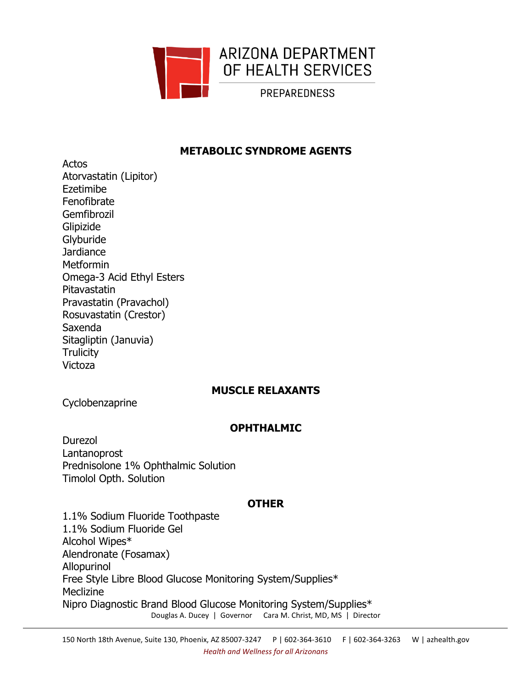

### **METABOLIC SYNDROME AGENTS**

Actos Atorvastatin (Lipitor) Ezetimibe Fenofibrate Gemfibrozil Glipizide Glyburide **Jardiance** Metformin Omega-3 Acid Ethyl Esters Pitavastatin Pravastatin (Pravachol) Rosuvastatin (Crestor) Saxenda Sitagliptin (Januvia) **Trulicity** Victoza

# **MUSCLE RELAXANTS**

Cyclobenzaprine

### **OPHTHALMIC**

Durezol Lantanoprost Prednisolone 1% Ophthalmic Solution Timolol Opth. Solution

### **OTHER**

Douglas A. Ducey | Governor Cara M. Christ, MD, MS | Director 1.1% Sodium Fluoride Toothpaste 1.1% Sodium Fluoride Gel Alcohol Wipes\* Alendronate (Fosamax) Allopurinol Free Style Libre Blood Glucose Monitoring System/Supplies\* **Meclizine** Nipro Diagnostic Brand Blood Glucose Monitoring System/Supplies\*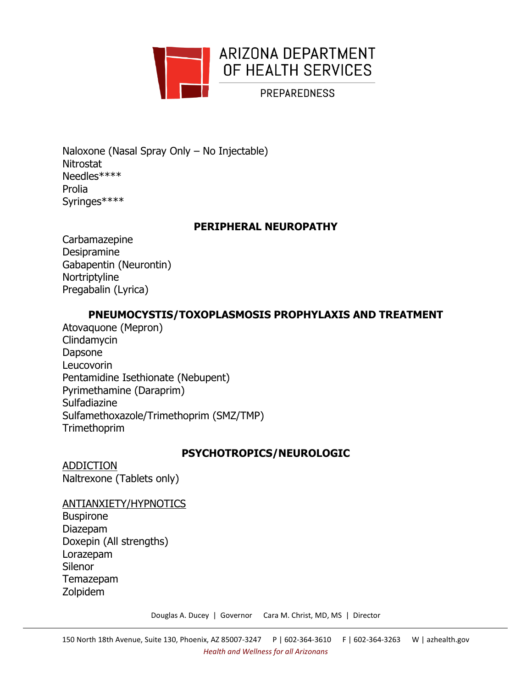

Naloxone (Nasal Spray Only – No Injectable) **Nitrostat** Needles\*\*\*\* Prolia Syringes\*\*\*\*

### **PERIPHERAL NEUROPATHY**

Carbamazepine Desipramine Gabapentin (Neurontin) Nortriptyline Pregabalin (Lyrica)

# **PNEUMOCYSTIS/TOXOPLASMOSIS PROPHYLAXIS AND TREATMENT**

Atovaquone (Mepron) Clindamycin Dapsone Leucovorin Pentamidine Isethionate (Nebupent) Pyrimethamine (Daraprim) Sulfadiazine Sulfamethoxazole/Trimethoprim (SMZ/TMP) **Trimethoprim** 

# **PSYCHOTROPICS/NEUROLOGIC**

ADDICTION Naltrexone (Tablets only)

ANTIANXIETY/HYPNOTICS Buspirone Diazepam Doxepin (All strengths) Lorazepam Silenor Temazepam Zolpidem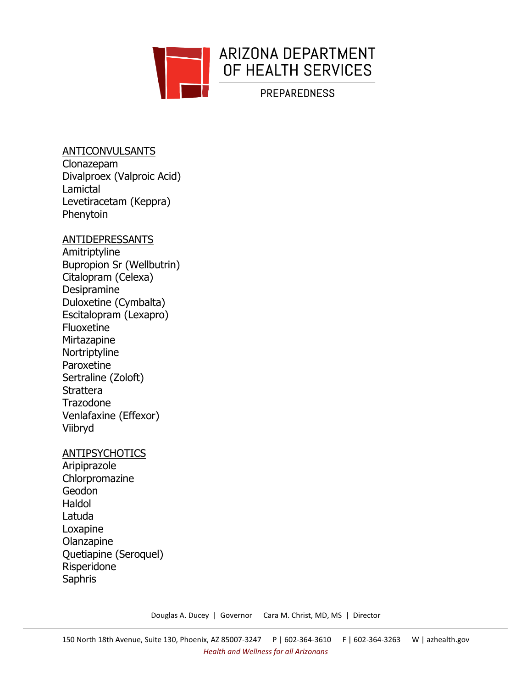

### ANTICONVULSANTS Clonazepam Divalproex (Valproic Acid) Lamictal Levetiracetam (Keppra) Phenytoin

### ANTIDEPRESSANTS

Amitriptyline Bupropion Sr (Wellbutrin) Citalopram (Celexa) Desipramine Duloxetine (Cymbalta) Escitalopram (Lexapro) Fluoxetine **Mirtazapine** Nortriptyline Paroxetine Sertraline (Zoloft) **Strattera** Trazodone Venlafaxine (Effexor) Viibryd

### **ANTIPSYCHOTICS**

Aripiprazole Chlorpromazine Geodon Haldol Latuda Loxapine Olanzapine Quetiapine (Seroquel) Risperidone **Saphris**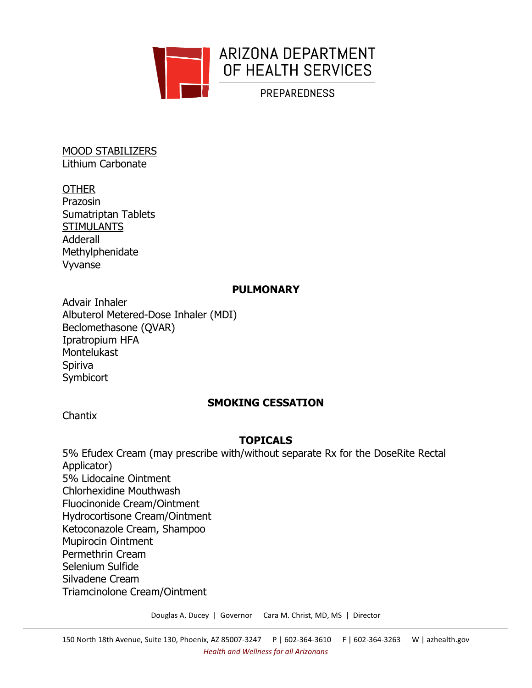

MOOD STABILIZERS Lithium Carbonate

# **OTHER**

Prazosin Sumatriptan Tablets **STIMULANTS** Adderall Methylphenidate Vyvanse

### **PULMONARY**

Advair Inhaler Albuterol Metered-Dose Inhaler (MDI) Beclomethasone (QVAR) Ipratropium HFA **Montelukast** Spiriva **Symbicort** 

# **SMOKING CESSATION**

Chantix

# **TOPICALS**

5% Efudex Cream (may prescribe with/without separate Rx for the DoseRite Rectal Applicator) 5% Lidocaine Ointment Chlorhexidine Mouthwash Fluocinonide Cream/Ointment Hydrocortisone Cream/Ointment Ketoconazole Cream, Shampoo Mupirocin Ointment Permethrin Cream Selenium Sulfide Silvadene Cream Triamcinolone Cream/Ointment